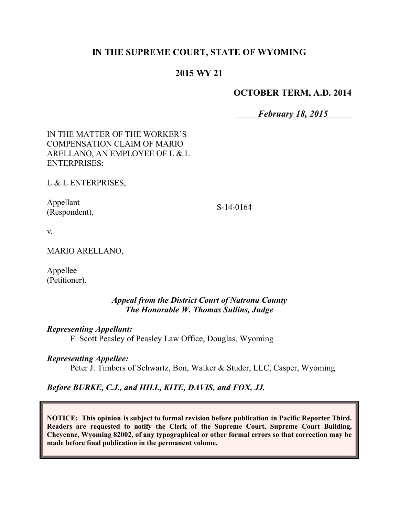# **IN THE SUPREME COURT, STATE OF WYOMING**

# **2015 WY 21**

### **OCTOBER TERM, A.D. 2014**

*February 18, 2015*

| IN THE MATTER OF THE WORKER'S<br>COMPENSATION CLAIM OF MARIO<br>ARELLANO, AN EMPLOYEE OF L & L<br><b>ENTERPRISES:</b> |           |
|-----------------------------------------------------------------------------------------------------------------------|-----------|
| L & L ENTERPRISES,                                                                                                    |           |
| Appellant<br>(Respondent),                                                                                            | S-14-0164 |
| V.                                                                                                                    |           |
| <b>MARIO ARELLANO,</b>                                                                                                |           |
| Appellee<br>(Petitioner).                                                                                             |           |

*Appeal from the District Court of Natrona County The Honorable W. Thomas Sullins, Judge* 

#### *Representing Appellant:*

F. Scott Peasley of Peasley Law Office, Douglas, Wyoming

#### *Representing Appellee:*

Peter J. Timbers of Schwartz, Bon, Walker & Studer, LLC, Casper, Wyoming

#### *Before BURKE, C.J., and HILL, KITE, DAVIS, and FOX, JJ.*

**NOTICE: This opinion is subject to formal revision before publication in Pacific Reporter Third. Readers are requested to notify the Clerk of the Supreme Court, Supreme Court Building, Cheyenne, Wyoming 82002, of any typographical or other formal errors so that correction may be made before final publication in the permanent volume.**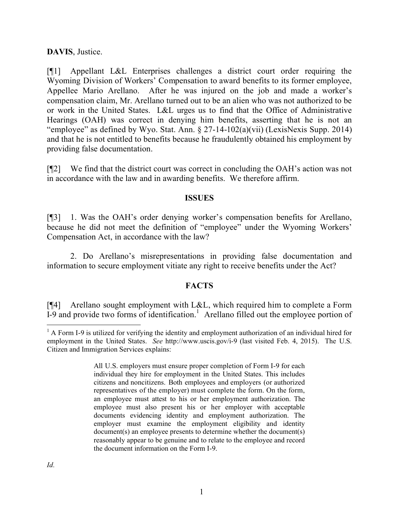**DAVIS**, Justice.

[¶1] Appellant L&L Enterprises challenges a district court order requiring the Wyoming Division of Workers' Compensation to award benefits to its former employee, Appellee Mario Arellano. After he was injured on the job and made a worker's compensation claim, Mr. Arellano turned out to be an alien who was not authorized to be or work in the United States. L&L urges us to find that the Office of Administrative Hearings (OAH) was correct in denying him benefits, asserting that he is not an "employee" as defined by Wyo. Stat. Ann. § 27-14-102(a)(vii) (LexisNexis Supp. 2014) and that he is not entitled to benefits because he fraudulently obtained his employment by providing false documentation.

[¶2] We find that the district court was correct in concluding the OAH's action was not in accordance with the law and in awarding benefits. We therefore affirm.

#### **ISSUES**

[¶3] 1. Was the OAH's order denying worker's compensation benefits for Arellano, because he did not meet the definition of "employee" under the Wyoming Workers' Compensation Act, in accordance with the law?

2. Do Arellano's misrepresentations in providing false documentation and information to secure employment vitiate any right to receive benefits under the Act?

## **FACTS**

[¶4] Arellano sought employment with L&L, which required him to complete a Form  $I-9$  and provide two forms of identification.<sup>1</sup> Arellano filled out the employee portion of

 $\overline{a}$ <sup>1</sup> A Form I-9 is utilized for verifying the identity and employment authorization of an individual hired for employment in the United States. *See* http://www.uscis.gov/i-9 (last visited Feb. 4, 2015). The U.S. Citizen and Immigration Services explains:

All U.S. employers must ensure proper completion of Form I-9 for each individual they hire for employment in the United States. This includes citizens and noncitizens. Both employees and employers (or authorized representatives of the employer) must complete the form. On the form, an employee must attest to his or her employment authorization. The employee must also present his or her employer with acceptable documents evidencing identity and employment authorization. The employer must examine the employment eligibility and identity document(s) an employee presents to determine whether the document(s) reasonably appear to be genuine and to relate to the employee and record the document information on the Form I-9.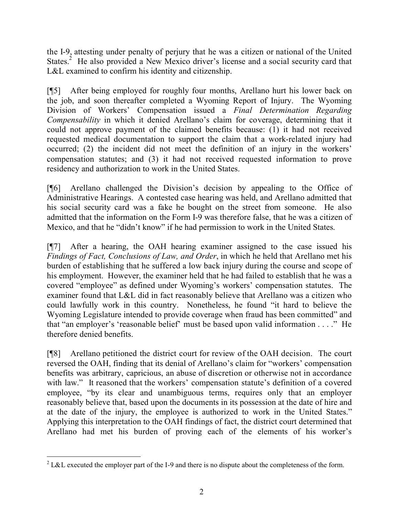the I-9, attesting under penalty of perjury that he was a citizen or national of the United States.<sup>2</sup> He also provided a New Mexico driver's license and a social security card that L&L examined to confirm his identity and citizenship.

[¶5] After being employed for roughly four months, Arellano hurt his lower back on the job, and soon thereafter completed a Wyoming Report of Injury. The Wyoming Division of Workers' Compensation issued a *Final Determination Regarding Compensability* in which it denied Arellano's claim for coverage, determining that it could not approve payment of the claimed benefits because: (1) it had not received requested medical documentation to support the claim that a work-related injury had occurred; (2) the incident did not meet the definition of an injury in the workers' compensation statutes; and (3) it had not received requested information to prove residency and authorization to work in the United States.

[¶6] Arellano challenged the Division's decision by appealing to the Office of Administrative Hearings. A contested case hearing was held, and Arellano admitted that his social security card was a fake he bought on the street from someone. He also admitted that the information on the Form I-9 was therefore false, that he was a citizen of Mexico, and that he "didn't know" if he had permission to work in the United States.

[¶7] After a hearing, the OAH hearing examiner assigned to the case issued his *Findings of Fact, Conclusions of Law, and Order*, in which he held that Arellano met his burden of establishing that he suffered a low back injury during the course and scope of his employment. However, the examiner held that he had failed to establish that he was a covered "employee" as defined under Wyoming's workers' compensation statutes. The examiner found that L&L did in fact reasonably believe that Arellano was a citizen who could lawfully work in this country. Nonetheless, he found "it hard to believe the Wyoming Legislature intended to provide coverage when fraud has been committed" and that "an employer's 'reasonable belief' must be based upon valid information . . . ." He therefore denied benefits.

[¶8] Arellano petitioned the district court for review of the OAH decision. The court reversed the OAH, finding that its denial of Arellano's claim for "workers' compensation benefits was arbitrary, capricious, an abuse of discretion or otherwise not in accordance with law." It reasoned that the workers' compensation statute's definition of a covered employee, "by its clear and unambiguous terms, requires only that an employer reasonably believe that, based upon the documents in its possession at the date of hire and at the date of the injury, the employee is authorized to work in the United States." Applying this interpretation to the OAH findings of fact, the district court determined that Arellano had met his burden of proving each of the elements of his worker's

 $\overline{a}$ <sup>2</sup> L&L executed the employer part of the I-9 and there is no dispute about the completeness of the form.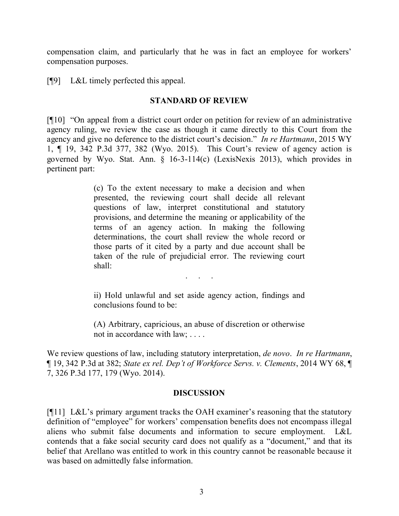compensation claim, and particularly that he was in fact an employee for workers' compensation purposes.

[¶9] L&L timely perfected this appeal.

## **STANDARD OF REVIEW**

[¶10] "On appeal from a district court order on petition for review of an administrative agency ruling, we review the case as though it came directly to this Court from the agency and give no deference to the district court's decision." *In re Hartmann*, 2015 WY 1, ¶ 19, 342 P.3d 377, 382 (Wyo. 2015). This Court's review of agency action is governed by Wyo. Stat. Ann. § 16-3-114(c) (LexisNexis 2013), which provides in pertinent part:

> (c) To the extent necessary to make a decision and when presented, the reviewing court shall decide all relevant questions of law, interpret constitutional and statutory provisions, and determine the meaning or applicability of the terms of an agency action. In making the following determinations, the court shall review the whole record or those parts of it cited by a party and due account shall be taken of the rule of prejudicial error. The reviewing court shall:

> > . . . . .<br>. . . . . .

ii) Hold unlawful and set aside agency action, findings and conclusions found to be:

(A) Arbitrary, capricious, an abuse of discretion or otherwise not in accordance with law; . . . .

We review questions of law, including statutory interpretation, *de novo*. *In re Hartmann*, ¶ 19, 342 P.3d at 382; *State ex rel. Dep't of Workforce Servs. v. Clements*, 2014 WY 68, ¶ 7, 326 P.3d 177, 179 (Wyo. 2014).

#### **DISCUSSION**

[¶11] L&L's primary argument tracks the OAH examiner's reasoning that the statutory definition of "employee" for workers' compensation benefits does not encompass illegal aliens who submit false documents and information to secure employment. L&L contends that a fake social security card does not qualify as a "document," and that its belief that Arellano was entitled to work in this country cannot be reasonable because it was based on admittedly false information.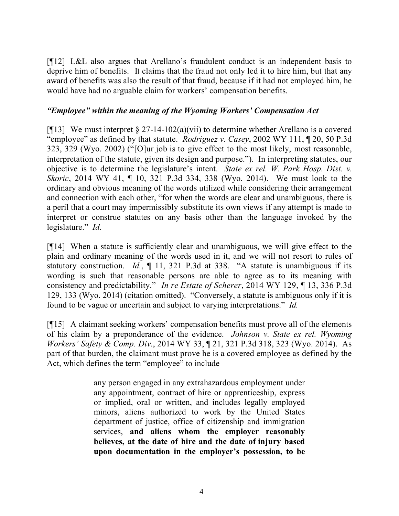[¶12] L&L also argues that Arellano's fraudulent conduct is an independent basis to deprive him of benefits. It claims that the fraud not only led it to hire him, but that any award of benefits was also the result of that fraud, because if it had not employed him, he would have had no arguable claim for workers' compensation benefits.

### *"Employee" within the meaning of the Wyoming Workers' Compensation Act*

[ $[13]$ ] We must interpret § 27-14-102(a)(vii) to determine whether Arellano is a covered "employee" as defined by that statute. *Rodriguez v. Casey*, 2002 WY 111, ¶ 20, 50 P.3d 323, 329 (Wyo. 2002) ("[O]ur job is to give effect to the most likely, most reasonable, interpretation of the statute, given its design and purpose."). In interpreting statutes, our objective is to determine the legislature's intent. *State ex rel. W. Park Hosp. Dist. v. Skoric*, 2014 WY 41, ¶ 10, 321 P.3d 334, 338 (Wyo. 2014). We must look to the ordinary and obvious meaning of the words utilized while considering their arrangement and connection with each other, "for when the words are clear and unambiguous, there is a peril that a court may impermissibly substitute its own views if any attempt is made to interpret or construe statutes on any basis other than the language invoked by the legislature." *Id.*

[¶14] When a statute is sufficiently clear and unambiguous, we will give effect to the plain and ordinary meaning of the words used in it, and we will not resort to rules of statutory construction. *Id.*, ¶ 11, 321 P.3d at 338. "A statute is unambiguous if its wording is such that reasonable persons are able to agree as to its meaning with consistency and predictability." *In re Estate of Scherer*, 2014 WY 129, ¶ 13, 336 P.3d 129, 133 (Wyo. 2014) (citation omitted). "Conversely, a statute is ambiguous only if it is found to be vague or uncertain and subject to varying interpretations." *Id.*

[¶15] A claimant seeking workers' compensation benefits must prove all of the elements of his claim by a preponderance of the evidence. *Johnson v. State ex rel. Wyoming Workers' Safety & Comp. Div*., 2014 WY 33, ¶ 21, 321 P.3d 318, 323 (Wyo. 2014). As part of that burden, the claimant must prove he is a covered employee as defined by the Act, which defines the term "employee" to include

> any person engaged in any extrahazardous employment under any appointment, contract of hire or apprenticeship, express or implied, oral or written, and includes legally employed minors, aliens authorized to work by the United States department of justice, office of citizenship and immigration services, **and aliens whom the employer reasonably believes, at the date of hire and the date of injury based upon documentation in the employer's possession, to be**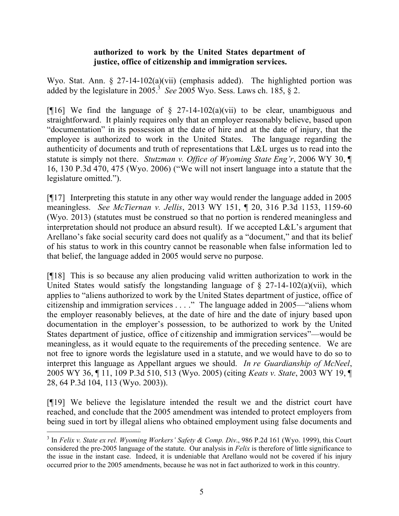### **authorized to work by the United States department of justice, office of citizenship and immigration services.**

Wyo. Stat. Ann. § 27-14-102(a)(vii) (emphasis added). The highlighted portion was added by the legislature in 2005.<sup>3</sup> See 2005 Wyo. Sess. Laws ch. 185,  $\S$  2.

[ $[16]$ ] We find the language of § 27-14-102(a)(vii) to be clear, unambiguous and straightforward. It plainly requires only that an employer reasonably believe, based upon "documentation" in its possession at the date of hire and at the date of injury, that the employee is authorized to work in the United States. The language regarding the authenticity of documents and truth of representations that L&L urges us to read into the statute is simply not there. *Stutzman v. Office of Wyoming State Eng'r*, 2006 WY 30, ¶ 16, 130 P.3d 470, 475 (Wyo. 2006) ("We will not insert language into a statute that the legislature omitted.").

[¶17] Interpreting this statute in any other way would render the language added in 2005 meaningless. *See McTiernan v. Jellis*, 2013 WY 151, ¶ 20, 316 P.3d 1153, 1159-60 (Wyo. 2013) (statutes must be construed so that no portion is rendered meaningless and interpretation should not produce an absurd result). If we accepted L&L's argument that Arellano's fake social security card does not qualify as a "document," and that its belief of his status to work in this country cannot be reasonable when false information led to that belief, the language added in 2005 would serve no purpose.

[¶18] This is so because any alien producing valid written authorization to work in the United States would satisfy the longstanding language of  $\S$  27-14-102(a)(vii), which applies to "aliens authorized to work by the United States department of justice, office of citizenship and immigration services . . . ." The language added in 2005—"aliens whom the employer reasonably believes, at the date of hire and the date of injury based upon documentation in the employer's possession, to be authorized to work by the United States department of justice, office of citizenship and immigration services"—would be meaningless, as it would equate to the requirements of the preceding sentence. We are not free to ignore words the legislature used in a statute, and we would have to do so to interpret this language as Appellant argues we should. *In re Guardianship of McNeel*, 2005 WY 36, ¶ 11, 109 P.3d 510, 513 (Wyo. 2005) (citing *Keats v. State*, 2003 WY 19, ¶ 28, 64 P.3d 104, 113 (Wyo. 2003)).

[¶19] We believe the legislature intended the result we and the district court have reached, and conclude that the 2005 amendment was intended to protect employers from being sued in tort by illegal aliens who obtained employment using false documents and

 $\overline{a}$ 

<sup>3</sup> In *Felix v. State ex rel. Wyoming Workers' Safety & Comp. Div*., 986 P.2d 161 (Wyo. 1999), this Court considered the pre-2005 language of the statute. Our analysis in *Felix* is therefore of little significance to the issue in the instant case. Indeed, it is undeniable that Arellano would not be covered if his injury occurred prior to the 2005 amendments, because he was not in fact authorized to work in this country.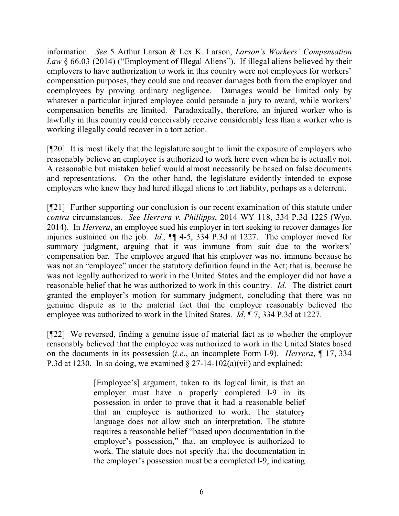information. *See* 5 Arthur Larson & Lex K. Larson, *Larson's Workers' Compensation Law* § 66.03 (2014) ("Employment of Illegal Aliens"). If illegal aliens believed by their employers to have authorization to work in this country were not employees for workers' compensation purposes, they could sue and recover damages both from the employer and coemployees by proving ordinary negligence. Damages would be limited only by whatever a particular injured employee could persuade a jury to award, while workers' compensation benefits are limited. Paradoxically, therefore, an injured worker who is lawfully in this country could conceivably receive considerably less than a worker who is working illegally could recover in a tort action.

[¶20] It is most likely that the legislature sought to limit the exposure of employers who reasonably believe an employee is authorized to work here even when he is actually not. A reasonable but mistaken belief would almost necessarily be based on false documents and representations. On the other hand, the legislature evidently intended to expose employers who knew they had hired illegal aliens to tort liability, perhaps as a deterrent.

[¶21] Further supporting our conclusion is our recent examination of this statute under *contra* circumstances. *See Herrera v. Phillipps*, 2014 WY 118, 334 P.3d 1225 (Wyo. 2014). In *Herrera*, an employee sued his employer in tort seeking to recover damages for injuries sustained on the job. *Id.,* ¶¶ 4-5, 334 P.3d at 1227. The employer moved for summary judgment, arguing that it was immune from suit due to the workers' compensation bar. The employee argued that his employer was not immune because he was not an "employee" under the statutory definition found in the Act; that is, because he was not legally authorized to work in the United States and the employer did not have a reasonable belief that he was authorized to work in this country. *Id.* The district court granted the employer's motion for summary judgment, concluding that there was no genuine dispute as to the material fact that the employer reasonably believed the employee was authorized to work in the United States. *Id*, ¶ 7, 334 P.3d at 1227*.*

[¶22] We reversed, finding a genuine issue of material fact as to whether the employer reasonably believed that the employee was authorized to work in the United States based on the documents in its possession (*i.e*., an incomplete Form I-9). *Herrera*, ¶ 17, 334 P.3d at 1230. In so doing, we examined  $\S 27$ -14-102(a)(vii) and explained:

> [Employee's] argument, taken to its logical limit, is that an employer must have a properly completed I-9 in its possession in order to prove that it had a reasonable belief that an employee is authorized to work. The statutory language does not allow such an interpretation. The statute requires a reasonable belief "based upon documentation in the employer's possession," that an employee is authorized to work. The statute does not specify that the documentation in the employer's possession must be a completed I-9, indicating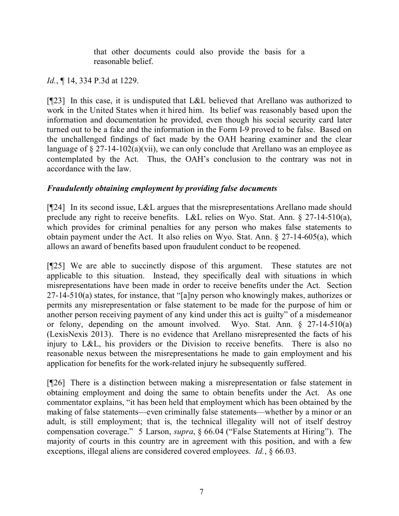that other documents could also provide the basis for a reasonable belief.

*Id.*, ¶ 14, 334 P.3d at 1229.

[¶23] In this case, it is undisputed that L&L believed that Arellano was authorized to work in the United States when it hired him. Its belief was reasonably based upon the information and documentation he provided, even though his social security card later turned out to be a fake and the information in the Form I-9 proved to be false. Based on the unchallenged findings of fact made by the OAH hearing examiner and the clear language of  $\S 27$ -14-102(a)(vii), we can only conclude that Arellano was an employee as contemplated by the Act. Thus, the OAH's conclusion to the contrary was not in accordance with the law.

# *Fraudulently obtaining employment by providing false documents*

[¶24] In its second issue, L&L argues that the misrepresentations Arellano made should preclude any right to receive benefits. L&L relies on Wyo. Stat. Ann. § 27-14-510(a), which provides for criminal penalties for any person who makes false statements to obtain payment under the Act. It also relies on Wyo. Stat. Ann. § 27-14-605(a), which allows an award of benefits based upon fraudulent conduct to be reopened.

[¶25] We are able to succinctly dispose of this argument. These statutes are not applicable to this situation. Instead, they specifically deal with situations in which misrepresentations have been made in order to receive benefits under the Act. Section 27-14-510(a) states, for instance, that "[a]ny person who knowingly makes, authorizes or permits any misrepresentation or false statement to be made for the purpose of him or another person receiving payment of any kind under this act is guilty" of a misdemeanor or felony, depending on the amount involved. Wyo. Stat. Ann. § 27-14-510(a) (LexisNexis 2013). There is no evidence that Arellano misrepresented the facts of his injury to L&L, his providers or the Division to receive benefits. There is also no reasonable nexus between the misrepresentations he made to gain employment and his application for benefits for the work-related injury he subsequently suffered.

[¶26] There is a distinction between making a misrepresentation or false statement in obtaining employment and doing the same to obtain benefits under the Act. As one commentator explains, "it has been held that employment which has been obtained by the making of false statements—even criminally false statements—whether by a minor or an adult, is still employment; that is, the technical illegality will not of itself destroy compensation coverage." 5 Larson, *supra*, § 66.04 ("False Statements at Hiring"). The majority of courts in this country are in agreement with this position, and with a few exceptions, illegal aliens are considered covered employees. *Id.*, § 66.03.